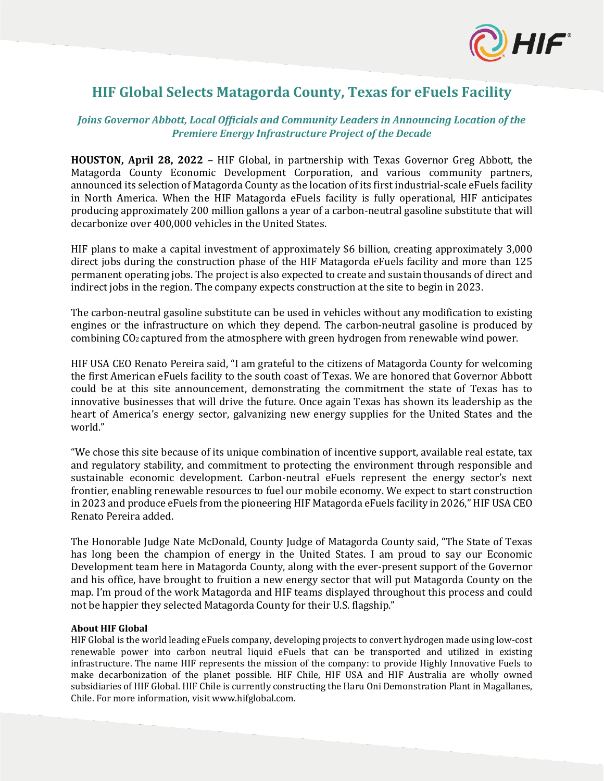

# **HIF Global Selects Matagorda County, Texas for eFuels Facility**

## *Joins Governor Abbott, Local Officials and Community Leaders in Announcing Location of the Premiere Energy Infrastructure Project of the Decade*

**HOUSTON, April 28, 2022** – HIF Global, in partnership with Texas Governor Greg Abbott, the Matagorda County Economic Development Corporation, and various community partners, announced its selection of Matagorda County as the location of its first industrial-scale eFuels facility in North America. When the HIF Matagorda eFuels facility is fully operational, HIF anticipates producing approximately 200 million gallons a year of a carbon-neutral gasoline substitute that will decarbonize over 400,000 vehicles in the United States.

HIF plans to make a capital investment of approximately \$6 billion, creating approximately 3,000 direct jobs during the construction phase of the HIF Matagorda eFuels facility and more than 125 permanent operating jobs. The project is also expected to create and sustain thousands of direct and indirect jobs in the region. The company expects construction at the site to begin in 2023.

The carbon-neutral gasoline substitute can be used in vehicles without any modification to existing engines or the infrastructure on which they depend. The carbon-neutral gasoline is produced by combining CO2 captured from the atmosphere with green hydrogen from renewable wind power.

HIF USA CEO Renato Pereira said, "I am grateful to the citizens of Matagorda County for welcoming the first American eFuels facility to the south coast of Texas. We are honored that Governor Abbott could be at this site announcement, demonstrating the commitment the state of Texas has to innovative businesses that will drive the future. Once again Texas has shown its leadership as the heart of America's energy sector, galvanizing new energy supplies for the United States and the world."

"We chose this site because of its unique combination of incentive support, available real estate, tax and regulatory stability, and commitment to protecting the environment through responsible and sustainable economic development. Carbon-neutral eFuels represent the energy sector's next frontier, enabling renewable resources to fuel our mobile economy. We expect to start construction in 2023 and produce eFuels from the pioneering HIF Matagorda eFuels facility in 2026," HIF USA CEO Renato Pereira added.

The Honorable Judge Nate McDonald, County Judge of Matagorda County said, "The State of Texas has long been the champion of energy in the United States. I am proud to say our Economic Development team here in Matagorda County, along with the ever-present support of the Governor and his office, have brought to fruition a new energy sector that will put Matagorda County on the map. I'm proud of the work Matagorda and HIF teams displayed throughout this process and could not be happier they selected Matagorda County for their U.S. flagship."

## **About HIF Global**

HIF Global is the world leading eFuels company, developing projects to convert hydrogen made using low-cost renewable power into carbon neutral liquid eFuels that can be transported and utilized in existing infrastructure. The name HIF represents the mission of the company: to provide Highly Innovative Fuels to make decarbonization of the planet possible. HIF Chile, HIF USA and HIF Australia are wholly owned subsidiaries of HIF Global. HIF Chile is currently constructing the Haru Oni Demonstration Plant in Magallanes, Chile. For more information, visit www.hifglobal.com.